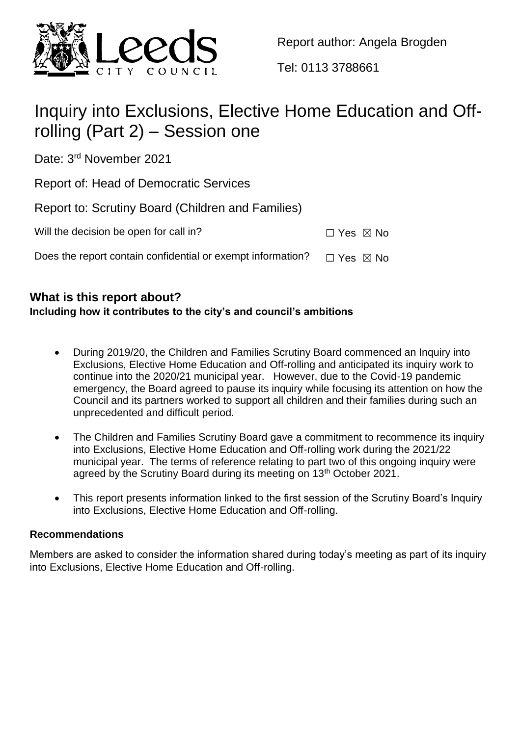

Report author: Angela Brogden

Tel: 0113 3788661

# Inquiry into Exclusions, Elective Home Education and Offrolling (Part 2) – Session one

Date: 3<sup>rd</sup> November 2021

Report of: Head of Democratic Services

Report to: Scrutiny Board (Children and Families) Will the decision be open for call in?  $□$  Yes  $□$  No

Does the report contain confidential or exempt information?  $\Box$  Yes  $\boxtimes$  No

# **What is this report about?**

# **Including how it contributes to the city's and council's ambitions**

- During 2019/20, the Children and Families Scrutiny Board commenced an Inquiry into Exclusions, Elective Home Education and Off-rolling and anticipated its inquiry work to continue into the 2020/21 municipal year. However, due to the Covid-19 pandemic emergency, the Board agreed to pause its inquiry while focusing its attention on how the Council and its partners worked to support all children and their families during such an unprecedented and difficult period.
- The Children and Families Scrutiny Board gave a commitment to recommence its inquiry into Exclusions, Elective Home Education and Off-rolling work during the 2021/22 municipal year. The terms of reference relating to part two of this ongoing inquiry were agreed by the Scrutiny Board during its meeting on 13<sup>th</sup> October 2021.
- This report presents information linked to the first session of the Scrutiny Board's Inquiry into Exclusions, Elective Home Education and Off-rolling.

# **Recommendations**

Members are asked to consider the information shared during today's meeting as part of its inquiry into Exclusions, Elective Home Education and Off-rolling.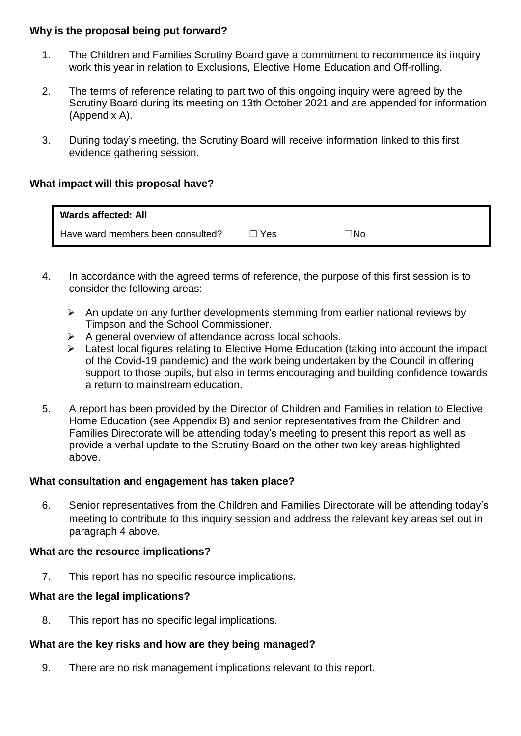## **Why is the proposal being put forward?**

- 1. The Children and Families Scrutiny Board gave a commitment to recommence its inquiry work this year in relation to Exclusions, Elective Home Education and Off-rolling.
- 2. The terms of reference relating to part two of this ongoing inquiry were agreed by the Scrutiny Board during its meeting on 13th October 2021 and are appended for information (Appendix A).
- 3. During today's meeting, the Scrutiny Board will receive information linked to this first evidence gathering session.

## **What impact will this proposal have?**

| <b>Wards affected: All</b>        |       |     |
|-----------------------------------|-------|-----|
| Have ward members been consulted? | □ Yes | ⊤No |

- 4. In accordance with the agreed terms of reference, the purpose of this first session is to consider the following areas:
	- $\triangleright$  An update on any further developments stemming from earlier national reviews by Timpson and the School Commissioner.
	- $\triangleright$  A general overview of attendance across local schools.
	- $\triangleright$  Latest local figures relating to Elective Home Education (taking into account the impact of the Covid-19 pandemic) and the work being undertaken by the Council in offering support to those pupils, but also in terms encouraging and building confidence towards a return to mainstream education.
- 5. A report has been provided by the Director of Children and Families in relation to Elective Home Education (see Appendix B) and senior representatives from the Children and Families Directorate will be attending today's meeting to present this report as well as provide a verbal update to the Scrutiny Board on the other two key areas highlighted above.

#### **What consultation and engagement has taken place?**

6. Senior representatives from the Children and Families Directorate will be attending today's meeting to contribute to this inquiry session and address the relevant key areas set out in paragraph 4 above.

#### **What are the resource implications?**

7. This report has no specific resource implications.

# **What are the legal implications?**

8. This report has no specific legal implications.

#### **What are the key risks and how are they being managed?**

9. There are no risk management implications relevant to this report.